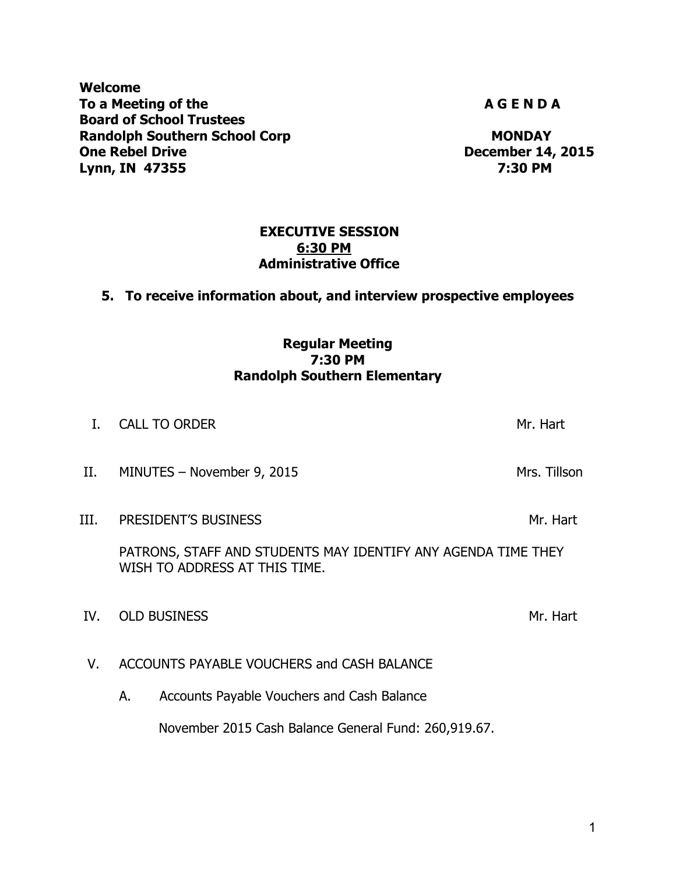**Welcome**  To a Meeting of the **A G E N D A A G E N D A Board of School Trustees Randolph Southern School Corp MONDAY MONDAY One Rebel Drive** *December 14, 2015* **Lynn, IN 47355 7:30 PM** 

## **EXECUTIVE SESSION 6:30 PM Administrative Office**

# **5. To receive information about, and interview prospective employees**

# **Regular Meeting 7:30 PM Randolph Southern Elementary**

- I. CALL TO ORDER Mr. Hart Mr. Hart Mr. Hart Mr. Hart Mr. Hart Mr. Hart Mr. Hart Mr. Hart Mr. Hart Mr. Hart Mr. Hart Mr. Hart Mr. Hart Mr. Hart Mr. Hart Mr. Hart Mr. Hart Mr. Hart Mr. Hart Mr. Hart Mr. Hart Mr. Hart Mr. Har II. MINUTES – November 9, 2015 Mrs. Tillson III. PRESIDENT'S BUSINESS MANUSCRIPT OF THE METHOD METHOD MANUSCRIPT OF THE METHOD MANUSCRIPT OF THE METHOD MANUSCRIPT OF THE METHOD MANUSCRIPT OF THE METHOD MANUSCRIPT OF THE METHOD MANUSCRIPT OF THE METHOD MANUSCRIPT OF PATRONS, STAFF AND STUDENTS MAY IDENTIFY ANY AGENDA TIME THEY WISH TO ADDRESS AT THIS TIME. IV. OLD BUSINESS Mr. Hart V. ACCOUNTS PAYABLE VOUCHERS and CASH BALANCE
	- A. Accounts Payable Vouchers and Cash Balance

November 2015 Cash Balance General Fund: 260,919.67.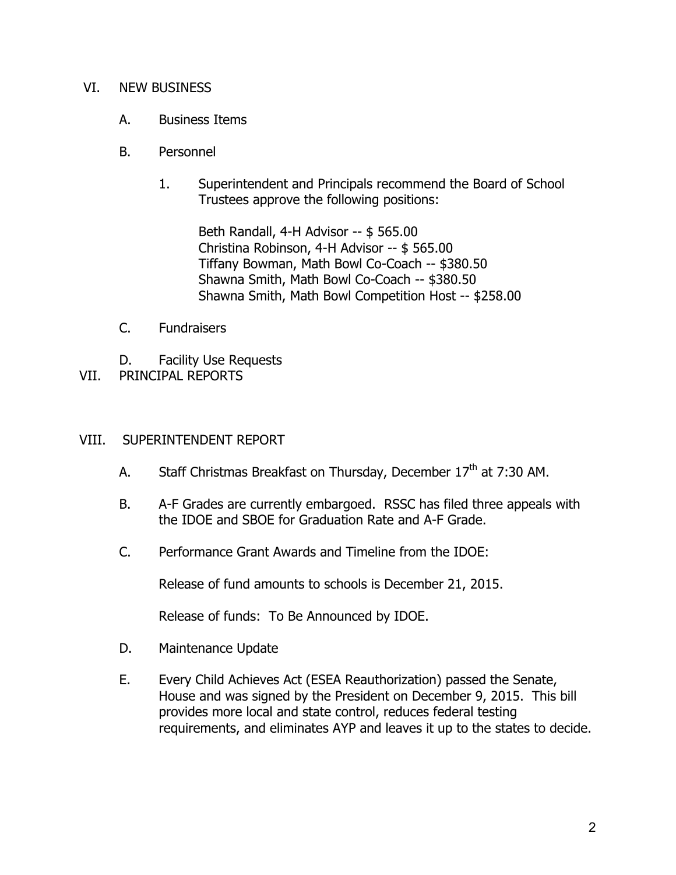### VI. NEW BUSINESS

- A. Business Items
- B. Personnel
	- 1. Superintendent and Principals recommend the Board of School Trustees approve the following positions:

Beth Randall, 4-H Advisor -- \$ 565.00 Christina Robinson, 4-H Advisor -- \$ 565.00 Tiffany Bowman, Math Bowl Co-Coach -- \$380.50 Shawna Smith, Math Bowl Co-Coach -- \$380.50 Shawna Smith, Math Bowl Competition Host -- \$258.00

- C. Fundraisers
- D. Facility Use Requests
- VII. PRINCIPAL REPORTS

#### VIII. SUPERINTENDENT REPORT

- A. Staff Christmas Breakfast on Thursday, December  $17<sup>th</sup>$  at 7:30 AM.
- B. A-F Grades are currently embargoed. RSSC has filed three appeals with the IDOE and SBOE for Graduation Rate and A-F Grade.
- C. Performance Grant Awards and Timeline from the IDOE:

Release of fund amounts to schools is December 21, 2015.

Release of funds: To Be Announced by IDOE.

- D. Maintenance Update
- E. Every Child Achieves Act (ESEA Reauthorization) passed the Senate, House and was signed by the President on December 9, 2015. This bill provides more local and state control, reduces federal testing requirements, and eliminates AYP and leaves it up to the states to decide.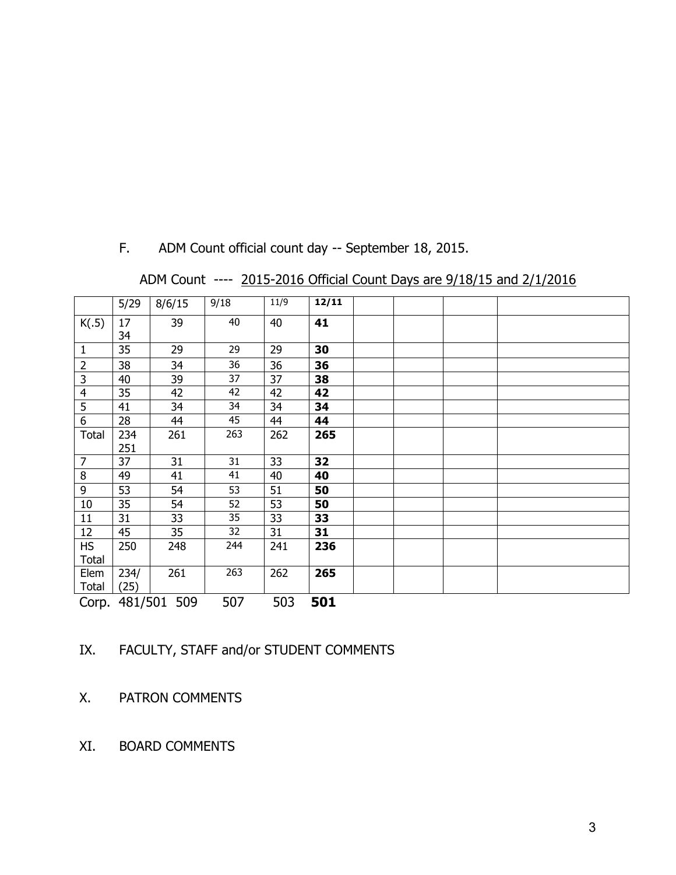|                | 5/29              | 8/6/15 | 9/18 | 11/9 | 12/11 |  |  |  |
|----------------|-------------------|--------|------|------|-------|--|--|--|
| K(.5)          | 17                | 39     | 40   | 40   | 41    |  |  |  |
|                | 34                |        |      |      |       |  |  |  |
| $\mathbf{1}$   | 35                | 29     | 29   | 29   | 30    |  |  |  |
| $\overline{2}$ | 38                | 34     | 36   | 36   | 36    |  |  |  |
| $\overline{3}$ | 40                | 39     | 37   | 37   | 38    |  |  |  |
| $\overline{4}$ | 35                | 42     | 42   | 42   | 42    |  |  |  |
| 5              | 41                | 34     | 34   | 34   | 34    |  |  |  |
| $\overline{6}$ | 28                | 44     | 45   | 44   | 44    |  |  |  |
| Total          | 234               | 261    | 263  | 262  | 265   |  |  |  |
|                | 251               |        |      |      |       |  |  |  |
| 7              | 37                | 31     | 31   | 33   | 32    |  |  |  |
| 8              | 49                | 41     | 41   | 40   | 40    |  |  |  |
| 9              | 53                | 54     | 53   | 51   | 50    |  |  |  |
| 10             | 35                | 54     | 52   | 53   | 50    |  |  |  |
| 11             | 31                | 33     | 35   | 33   | 33    |  |  |  |
| 12             | 45                | 35     | 32   | 31   | 31    |  |  |  |
| <b>HS</b>      | 250               | 248    | 244  | 241  | 236   |  |  |  |
| <b>Total</b>   |                   |        |      |      |       |  |  |  |
| Elem           | 234/              | 261    | 263  | 262  | 265   |  |  |  |
| <b>Total</b>   | (25)              |        |      |      |       |  |  |  |
|                | Corp. 481/501 509 |        | 507  | 503  | 501   |  |  |  |

F. ADM Count official count day -- September 18, 2015.

ADM Count ---- 2015-2016 Official Count Days are 9/18/15 and 2/1/2016

IX. FACULTY, STAFF and/or STUDENT COMMENTS

X. PATRON COMMENTS

XI. BOARD COMMENTS